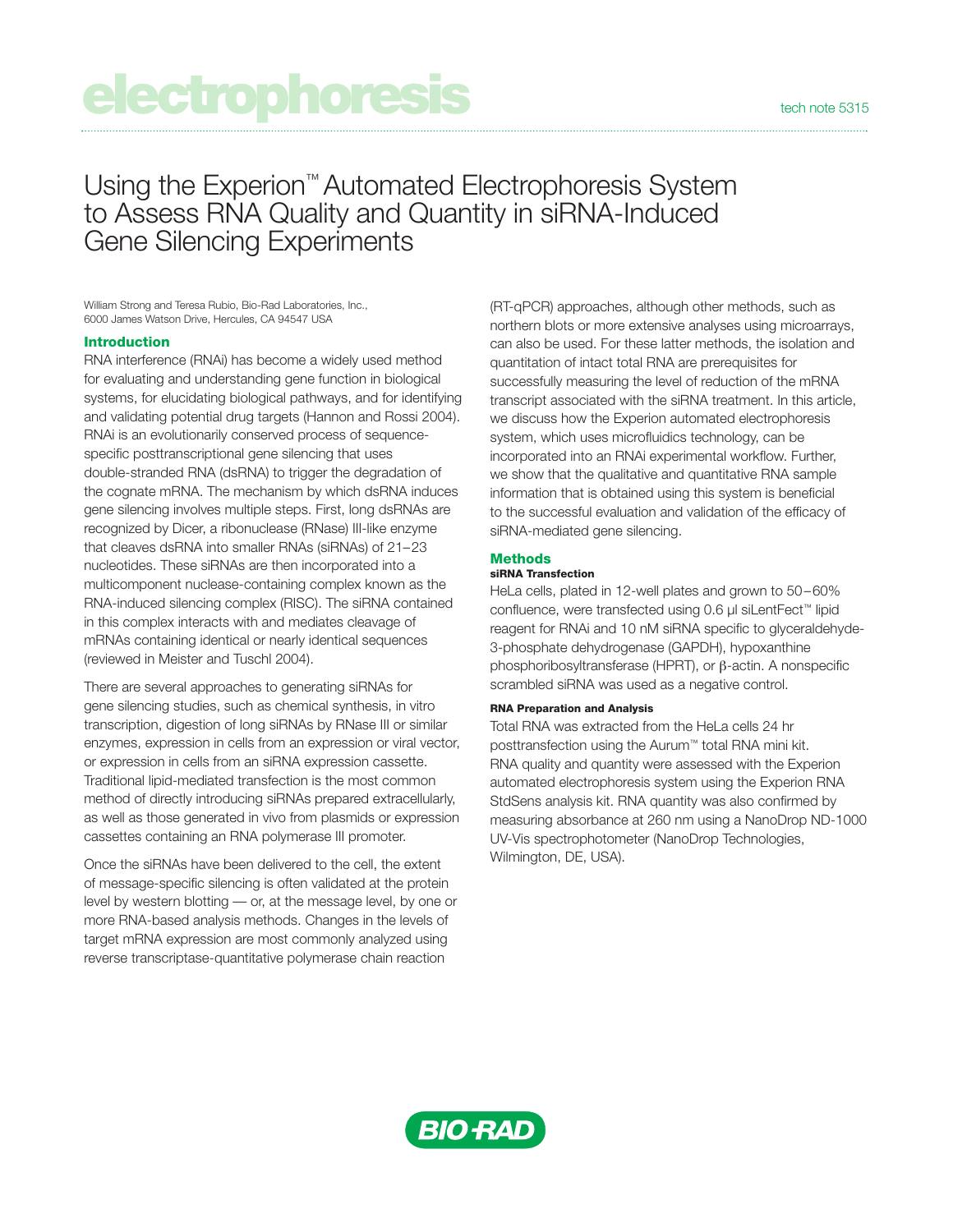# **electrophoresis**

Using the Experion™ Automated Electrophoresis System to Assess RNA Quality and Quantity in siRNA-Induced Gene Silencing Experiments

William Strong and Teresa Rubio, Bio-Rad Laboratories, Inc., 6000 James Watson Drive, Hercules, CA 94547 USA

## **Introduction**

RNA interference (RNAi) has become a widely used method for evaluating and understanding gene function in biological systems, for elucidating biological pathways, and for identifying and validating potential drug targets (Hannon and Rossi 2004). RNAi is an evolutionarily conserved process of sequencespecific posttranscriptional gene silencing that uses double-stranded RNA (dsRNA) to trigger the degradation of the cognate mRNA. The mechanism by which dsRNA induces gene silencing involves multiple steps. First, long dsRNAs are recognized by Dicer, a ribonuclease (RNase) III-like enzyme that cleaves dsRNA into smaller RNAs (siRNAs) of 21–23 nucleotides. These siRNAs are then incorporated into a multicomponent nuclease-containing complex known as the RNA-induced silencing complex (RISC). The siRNA contained in this complex interacts with and mediates cleavage of mRNAs containing identical or nearly identical sequences (reviewed in Meister and Tuschl 2004).

There are several approaches to generating siRNAs for gene silencing studies, such as chemical synthesis, in vitro transcription, digestion of long siRNAs by RNase III or similar enzymes, expression in cells from an expression or viral vector, or expression in cells from an siRNA expression cassette. Traditional lipid-mediated transfection is the most common method of directly introducing siRNAs prepared extracellularly, as well as those generated in vivo from plasmids or expression cassettes containing an RNA polymerase III promoter.

Once the siRNAs have been delivered to the cell, the extent of message-specific silencing is often validated at the protein level by western blotting — or, at the message level, by one or more RNA-based analysis methods. Changes in the levels of target mRNA expression are most commonly analyzed using reverse transcriptase-quantitative polymerase chain reaction

(RT-qPCR) approaches, although other methods, such as northern blots or more extensive analyses using microarrays, can also be used. For these latter methods, the isolation and quantitation of intact total RNA are prerequisites for successfully measuring the level of reduction of the mRNA transcript associated with the siRNA treatment. In this article, we discuss how the Experion automated electrophoresis system, which uses microfluidics technology, can be incorporated into an RNAi experimental workflow. Further, we show that the qualitative and quantitative RNA sample information that is obtained using this system is beneficial to the successful evaluation and validation of the efficacy of siRNA-mediated gene silencing.

# **Methods**

### **siRNA Transfection**

HeLa cells, plated in 12-well plates and grown to 50–60% confluence, were transfected using 0.6 µl siLentFect™ lipid reagent for RNAi and 10 nM siRNA specific to glyceraldehyde-3-phosphate dehydrogenase (GAPDH), hypoxanthine phosphoribosyltransferase (HPRT), or β-actin. A nonspecific scrambled siRNA was used as a negative control.

#### **RNA Preparation and Analysis**

Total RNA was extracted from the HeLa cells 24 hr posttransfection using the Aurum™ total RNA mini kit. RNA quality and quantity were assessed with the Experion automated electrophoresis system using the Experion RNA StdSens analysis kit. RNA quantity was also confirmed by measuring absorbance at 260 nm using a NanoDrop ND-1000 UV-Vis spectrophotometer (NanoDrop Technologies, Wilmington, DE, USA).

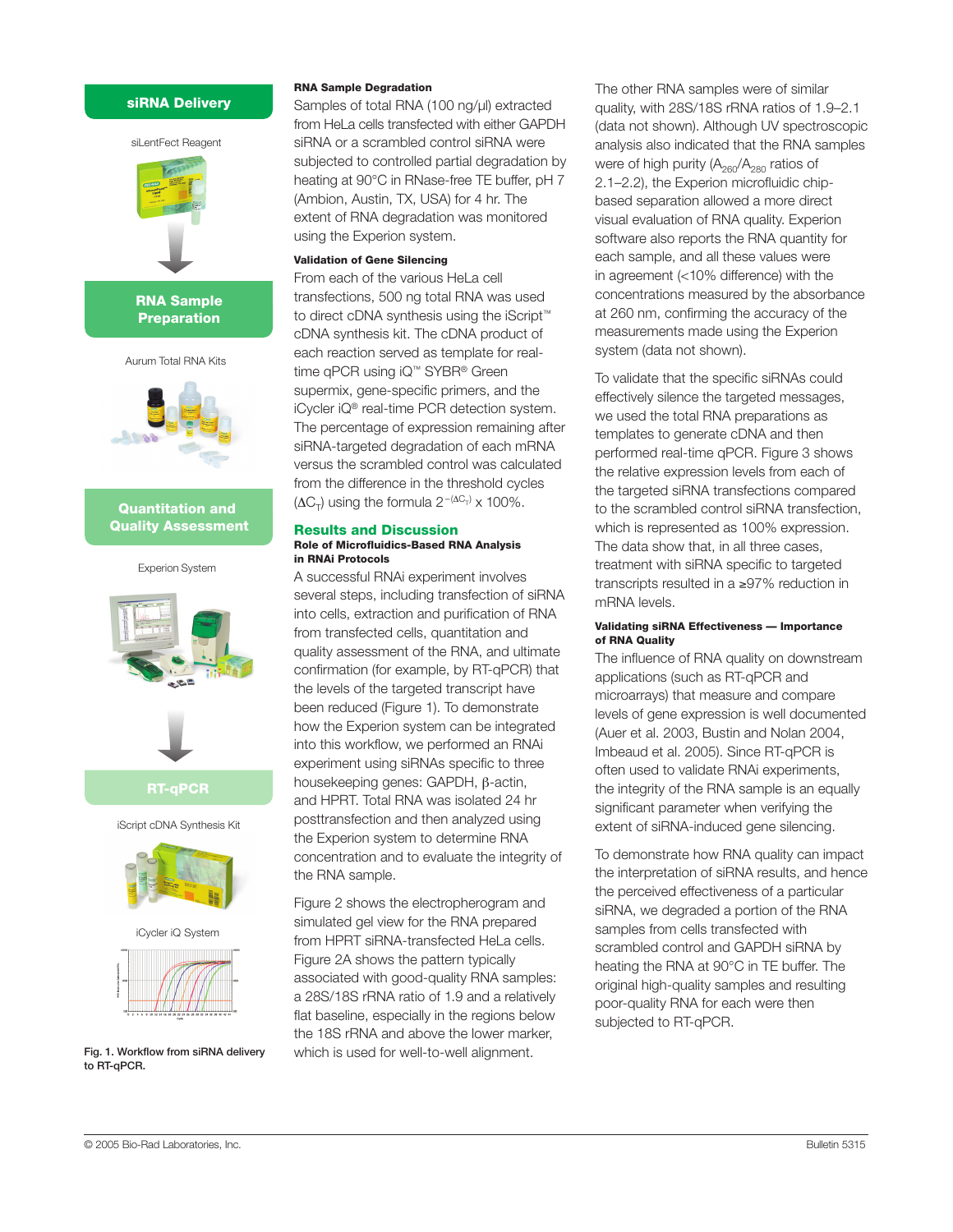# **siRNA Delivery**



**RNA Sample Preparation**

Aurum Total RNA Kits



# **Quantitation and Quality Assessment**

Experion System





**RT-qPCR**

iScript cDNA Synthesis Kit



iCycler iQ System



**Fig. 1. Workflow from siRNA delivery to RT-qPCR.**

#### **RNA Sample Degradation**

Samples of total RNA (100 ng/µl) extracted from HeLa cells transfected with either GAPDH siRNA or a scrambled control siRNA were subjected to controlled partial degradation by heating at 90°C in RNase-free TE buffer, pH 7 (Ambion, Austin, TX, USA) for 4 hr. The extent of RNA degradation was monitored using the Experion system.

#### **Validation of Gene Silencing**

From each of the various HeLa cell transfections, 500 ng total RNA was used to direct cDNA synthesis using the iScript™ cDNA synthesis kit. The cDNA product of each reaction served as template for realtime qPCR using iQ™ SYBR® Green supermix, gene-specific primers, and the iCycler iQ® real-time PCR detection system. The percentage of expression remaining after siRNA-targeted degradation of each mRNA versus the scrambled control was calculated from the difference in the threshold cycles  $(\Delta C_{\tau})$  using the formula  $2^{-(\Delta C_{\tau})} \times 100\%$ .

#### **Results and Discussion Role of Microfluidics-Based RNA Analysis in RNAi Protocols**

A successful RNAi experiment involves several steps, including transfection of siRNA into cells, extraction and purification of RNA from transfected cells, quantitation and quality assessment of the RNA, and ultimate confirmation (for example, by RT-qPCR) that the levels of the targeted transcript have been reduced (Figure 1). To demonstrate how the Experion system can be integrated into this workflow, we performed an RNAi experiment using siRNAs specific to three housekeeping genes: GAPDH, β-actin, and HPRT. Total RNA was isolated 24 hr posttransfection and then analyzed using the Experion system to determine RNA concentration and to evaluate the integrity of the RNA sample.

Figure 2 shows the electropherogram and simulated gel view for the RNA prepared from HPRT siRNA-transfected HeLa cells. Figure 2A shows the pattern typically associated with good-quality RNA samples: a 28S/18S rRNA ratio of 1.9 and a relatively flat baseline, especially in the regions below the 18S rRNA and above the lower marker, which is used for well-to-well alignment.

The other RNA samples were of similar quality, with 28S/18S rRNA ratios of 1.9–2.1 (data not shown). Although UV spectroscopic analysis also indicated that the RNA samples were of high purity  $(A_{260}/A_{280})$  ratios of 2.1–2.2), the Experion microfluidic chipbased separation allowed a more direct visual evaluation of RNA quality. Experion software also reports the RNA quantity for each sample, and all these values were in agreement (<10% difference) with the concentrations measured by the absorbance at 260 nm, confirming the accuracy of the measurements made using the Experion system (data not shown).

To validate that the specific siRNAs could effectively silence the targeted messages, we used the total RNA preparations as templates to generate cDNA and then performed real-time qPCR. Figure 3 shows the relative expression levels from each of the targeted siRNA transfections compared to the scrambled control siRNA transfection, which is represented as 100% expression. The data show that, in all three cases, treatment with siRNA specific to targeted transcripts resulted in a ≥97% reduction in mRNA levels.

#### **Validating siRNA Effectiveness — Importance of RNA Quality**

The influence of RNA quality on downstream applications (such as RT-qPCR and microarrays) that measure and compare levels of gene expression is well documented (Auer et al. 2003, Bustin and Nolan 2004, Imbeaud et al. 2005). Since RT-qPCR is often used to validate RNAi experiments, the integrity of the RNA sample is an equally significant parameter when verifying the extent of siRNA-induced gene silencing.

To demonstrate how RNA quality can impact the interpretation of siRNA results, and hence the perceived effectiveness of a particular siRNA, we degraded a portion of the RNA samples from cells transfected with scrambled control and GAPDH siRNA by heating the RNA at 90°C in TE buffer. The original high-quality samples and resulting poor-quality RNA for each were then subjected to RT-qPCR.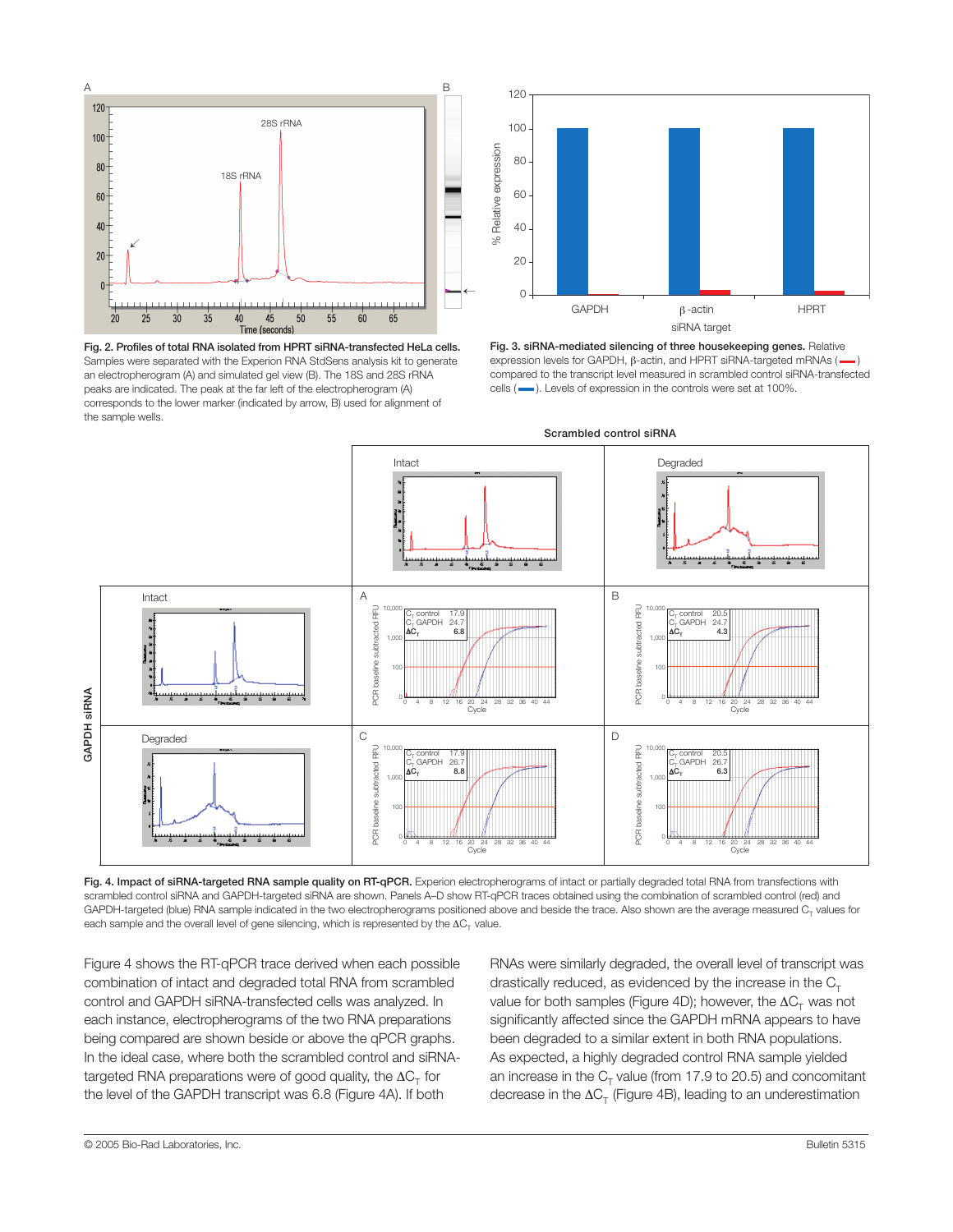

**Fig. 2. Profiles of total RNA isolated from HPRT siRNA-transfected HeLa cells.** Samples were separated with the Experion RNA StdSens analysis kit to generate an electropherogram (A) and simulated gel view (B). The 18S and 28S rRNA peaks are indicated. The peak at the far left of the electropherogram (A) corresponds to the lower marker (indicated by arrow, B) used for alignment of the sample wells.



**Fig. 3. siRNA-mediated silencing of three housekeeping genes.** Relative expression levels for GAPDH,  $β$ -actin, and HPRT siRNA-targeted mRNAs ( $\longrightarrow$ compared to the transcript level measured in scrambled control siRNA-transfected cells ( $\longrightarrow$ ). Levels of expression in the controls were set at 100%.



**Fig. 4. Impact of siRNA-targeted RNA sample quality on RT-qPCR.** Experion electropherograms of intact or partially degraded total RNA from transfections with scrambled control siRNA and GAPDH-targeted siRNA are shown. Panels A–D show RT-qPCR traces obtained using the combination of scrambled control (red) and GAPDH-targeted (blue) RNA sample indicated in the two electropherograms positioned above and beside the trace. Also shown are the average measured  $C<sub>r</sub>$  values for each sample and the overall level of gene silencing, which is represented by the  $\Delta C_{\tau}$  value.

Figure 4 shows the RT-qPCR trace derived when each possible combination of intact and degraded total RNA from scrambled control and GAPDH siRNA-transfected cells was analyzed. In each instance, electropherograms of the two RNA preparations being compared are shown beside or above the qPCR graphs. In the ideal case, where both the scrambled control and siRNAtargeted RNA preparations were of good quality, the  $\Delta C_T$  for the level of the GAPDH transcript was 6.8 (Figure 4A). If both

RNAs were similarly degraded, the overall level of transcript was drastically reduced, as evidenced by the increase in the  $C_T$ value for both samples (Figure 4D); however, the  $\Delta C_{T}$  was not significantly affected since the GAPDH mRNA appears to have been degraded to a similar extent in both RNA populations. As expected, a highly degraded control RNA sample yielded an increase in the  $C_T$  value (from 17.9 to 20.5) and concomitant decrease in the  $\Delta C_T$  (Figure 4B), leading to an underestimation